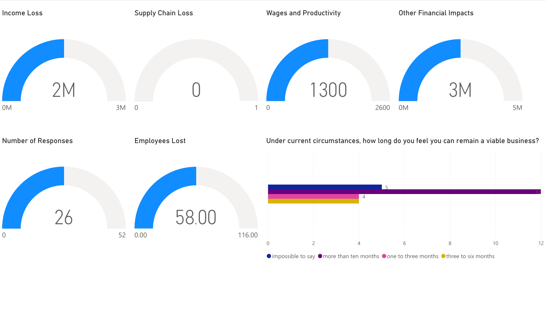

 $\bullet$  impossible to say  $\bullet$  more than ten months  $\bullet$  one to three months  $\bullet$  three to six months